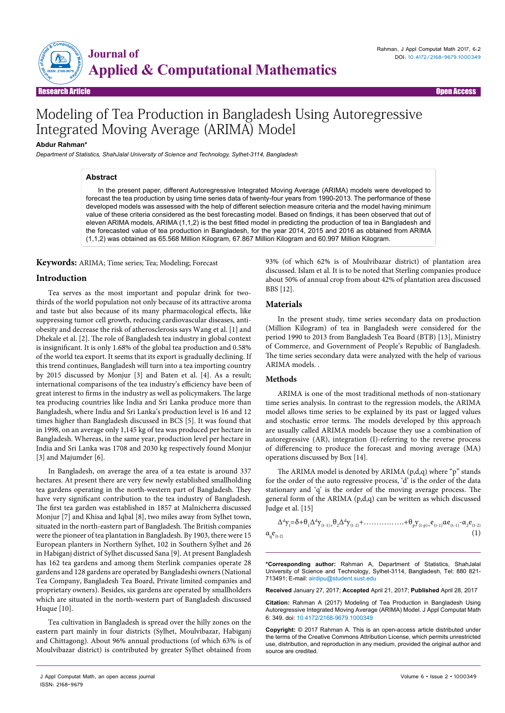

# Modeling of Tea Production in Bangladesh Using Autoregressive Integrated Moving Average (ARIMA) Model

## **Abdur Rahman\***

*Department of Statistics, ShahJalal University of Science and Technology, Sylhet-3114, Bangladesh*

## **Abstract**

In the present paper, different Autoregressive Integrated Moving Average (ARIMA) models were developed to forecast the tea production by using time series data of twenty-four years from 1990-2013. The performance of these developed models was assessed with the help of different selection measure criteria and the model having minimum value of these criteria considered as the best forecasting model. Based on findings, it has been observed that out of eleven ARIMA models, ARIMA (1,1,2) is the best fitted model in predicting the production of tea in Bangladesh and the forecasted value of tea production in Bangladesh, for the year 2014, 2015 and 2016 as obtained from ARIMA (1,1,2) was obtained as 65.568 Million Kilogram, 67.867 Million Kilogram and 60.997 Million Kilogram.

**Keywords:** ARIMA; Time series; Tea; Modeling; Forecast

## **Introduction**

Tea serves as the most important and popular drink for twothirds of the world population not only because of its attractive aroma and taste but also because of its many pharmacological effects, like suppressing tumor cell growth, reducing cardiovascular diseases, antiobesity and decrease the risk of atherosclerosis says Wang et al. [1] and Dhekale et al. [2]. The role of Bangladesh tea industry in global context is insignificant. It is only 1.68% of the global tea production and 0.58% of the world tea export. It seems that its export is gradually declining. If this trend continues, Bangladesh will turn into a tea importing country by 2015 discussed by Monjur [3] and Baten et al. [4]. As a result; international comparisons of the tea industry's efficiency have been of great interest to firms in the industry as well as policymakers. The large tea producing countries like India and Sri Lanka produce more than Bangladesh, where India and Sri Lanka's production level is 16 and 12 times higher than Bangladesh discussed in BCS [5]. It was found that in 1998, on an average only 1,145 kg of tea was produced per hectare in Bangladesh. Whereas, in the same year, production level per hectare in India and Sri Lanka was 1708 and 2030 kg respectively found Monjur [3] and Majumder [6].

In Bangladesh, on average the area of a tea estate is around 337 hectares. At present there are very few newly established smallholding tea gardens operating in the north-western part of Bangladesh. They have very significant contribution to the tea industry of Bangladesh. The first tea garden was established in 1857 at Malnicherra discussed Monjur [7] and Khisa and Iqbal [8], two miles away from Sylhet town, situated in the north-eastern part of Bangladesh. The British companies were the pioneer of tea plantation in Bangladesh. By 1903, there were 15 European planters in Northern Sylhet, 102 in Southern Sylhet and 26 in Habiganj district of Sylhet discussed Sana [9]. At present Bangladesh has 162 tea gardens and among them Sterlink companies operate 28 gardens and 128 gardens are operated by Bangladeshi owners (National Tea Company, Bangladesh Tea Board, Private limited companies and proprietary owners). Besides, six gardens are operated by smallholders which are situated in the north-western part of Bangladesh discussed Huque [10].

Tea cultivation in Bangladesh is spread over the hilly zones on the eastern part mainly in four districts (Sylhet, Moulvibazar, Habiganj and Chittagong). About 96% annual productions (of which 63% is of Moulvibazar district) is contributed by greater Sylhet obtained from

93% (of which 62% is of Moulvibazar district) of plantation area discussed. Islam et al. It is to be noted that Sterling companies produce about 50% of annual crop from about 42% of plantation area discussed BBS [12].

#### **Materials**

In the present study, time series secondary data on production (Million Kilogram) of tea in Bangladesh were considered for the period 1990 to 2013 from Bangladesh Tea Board (BTB) [13], Ministry of Commerce, and Government of People's Republic of Bangladesh. The time series secondary data were analyzed with the help of various ARIMA models. .

### **Methods**

ARIMA is one of the most traditional methods of non-stationary time series analysis. In contrast to the regression models, the ARIMA model allows time series to be explained by its past or lagged values and stochastic error terms. The models developed by this approach are usually called ARIMA models because they use a combination of autoregressive (AR), integration (I)-referring to the reverse process of differencing to produce the forecast and moving average (MA) operations discussed by Box [14].

The ARIMA model is denoted by ARIMA (p,d,q) where "p" stands for the order of the auto regressive process, 'd' is the order of the data stationary and 'q' is the order of the moving average process. The general form of the ARIMA (p,d,q) can be written as which discussed Judge et al. [15]

$$
\Delta^{d} y_{t} = \delta + \theta_{1} \Delta^{d} y_{(t-1)+} \theta_{2} \Delta^{d} y_{(t-2)} + \dots + \theta_{p} y_{(t-p)+} e_{(t-1)} \alpha e_{(t-1)} - \alpha_{2} e_{(t-2)} \tag{1}
$$

**\*Corresponding author:** Rahman A, Department of Statistics, ShahJalal University of Science and Technology, Sylhet-3114, Bangladesh, Tel: 880 821- 713491; E-mail: airdipu@student.sust.edu

**Received** January 27, 2017; **Accepted** April 21, 2017; **Published** April 28, 2017

**Citation:** Rahman A (2017) Modeling of Tea Production in Bangladesh Using Autoregressive Integrated Moving Average (ARIMA) Model. J Appl Computat Math 6: 349. doi: 10.4172/2168-9679.1000349

**Copyright:** © 2017 Rahman A. This is an open-access article distributed under the terms of the Creative Commons Attribution License, which permits unrestricted use, distribution, and reproduction in any medium, provided the original author and source are credited.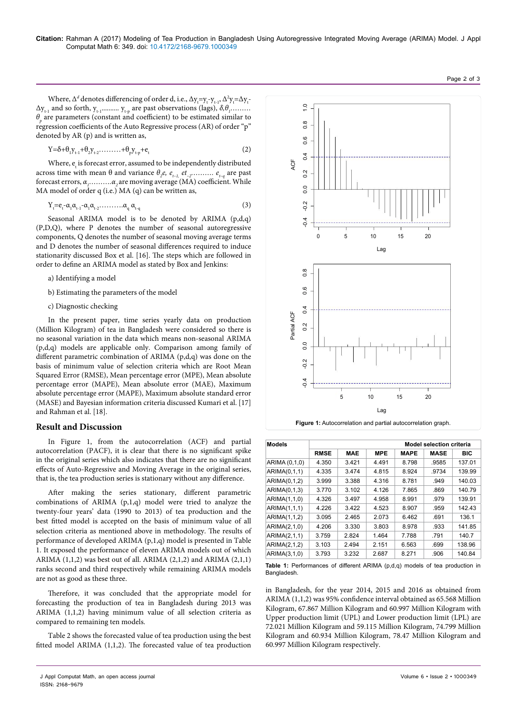Where,  $\Delta^d$  denotes differencing of order d, i.e.,  $\Delta y_t = y_t - y_{t-1}$ ,  $\Delta^2 y_t = \Delta y_t$ .  $\Delta y_{t-1}$  and so forth,  $y_{t-1}$ ..........  $y_{t+p}$  are past observations (lags),  $\delta, \theta_1$ ......... *θp* are parameters (constant and coefficient) to be estimated similar to regression coefficients of the Auto Regressive process (AR) of order "p" denoted by AR (p) and is written as,

$$
Y = \delta + \theta_1 Y_{t-1} + \theta_2 Y_{t-2} + \dots + \theta_p Y_{t-p} + e_t
$$
 (2)

Where,  $e_t$  is forecast error, assumed to be independently distributed across time with mean θ and variance  $θ_2e$ ,  $e_{_t_{-1}}$ ,  $et_{_2}$ ……….  $e_{_t_{-q}}$  are past forecast errors,  $α<sub>1</sub>........…α<sub>2</sub>$ are moving average (MA) coefficient. While MA model of order q (i.e.) MA (q) can be written as,

$$
Y_t = e_t - \alpha_1 \alpha_{t-1} - \alpha_1 \alpha_{t-2} \dots \dots \dots \alpha_q \alpha_{t-q}
$$
 (3)

Seasonal ARIMA model is to be denoted by ARIMA  $(p,d,q)$ (P,D,Q), where P denotes the number of seasonal autoregressive components, Q denotes the number of seasonal moving average terms and D denotes the number of seasonal differences required to induce stationarity discussed Box et al. [16]. The steps which are followed in order to define an ARIMA model as stated by Box and Jenkins:

- a) Identifying a model
- b) Estimating the parameters of the model
- c) Diagnostic checking

In the present paper, time series yearly data on production (Million Kilogram) of tea in Bangladesh were considered so there is no seasonal variation in the data which means non-seasonal ARIMA (p,d,q) models are applicable only. Comparison among family of different parametric combination of ARIMA (p,d,q) was done on the basis of minimum value of selection criteria which are Root Mean Squared Error (RMSE), Mean percentage error (MPE), Mean absolute percentage error (MAPE), Mean absolute error (MAE), Maximum absolute percentage error (MAPE), Maximum absolute standard error (MASE) and Bayesian information criteria discussed Kumari et al. [17] and Rahman et al. [18].

### **Result and Discussion**

In Figure 1, from the autocorrelation (ACF) and partial autocorrelation (PACF), it is clear that there is no significant spike in the original series which also indicates that there are no significant effects of Auto-Regressive and Moving Average in the original series, that is, the tea production series is stationary without any difference.

After making the series stationary, different parametric combinations of ARIMA (p,1,q) model were tried to analyze the twenty-four years' data (1990 to 2013) of tea production and the best fitted model is accepted on the basis of minimum value of all selection criteria as mentioned above in methodology. The results of performance of developed ARIMA (p,1,q) model is presented in Table 1. It exposed the performance of eleven ARIMA models out of which ARIMA (1,1,2) was best out of all. ARIMA (2,1,2) and ARIMA (2,1,1) ranks second and third respectively while remaining ARIMA models are not as good as these three.

Therefore, it was concluded that the appropriate model for forecasting the production of tea in Bangladesh during 2013 was ARIMA (1,1,2) having minimum value of all selection criteria as compared to remaining ten models.

Table 2 shows the forecasted value of tea production using the best fitted model ARIMA (1,1,2). The forecasted value of tea production



**Figure 1:** Autocorrelation and partial autocorrelation graph.

| <b>Models</b> | <b>Model selection criteria</b> |            |            |             |             |            |
|---------------|---------------------------------|------------|------------|-------------|-------------|------------|
|               | <b>RMSE</b>                     | <b>MAE</b> | <b>MPE</b> | <b>MAPE</b> | <b>MASE</b> | <b>BIC</b> |
| ARIMA (0,1,0) | 4.350                           | 3.421      | 4.491      | 8.798       | .9585       | 137.01     |
| ARIMA(0,1,1)  | 4.335                           | 3.474      | 4.815      | 8.924       | .9734       | 139.99     |
| ARIMA(0,1,2)  | 3.999                           | 3.388      | 4.316      | 8.781       | .949        | 140.03     |
| ARIMA(0,1,3)  | 3.770                           | 3.102      | 4.126      | 7.865       | .869        | 140.79     |
| ARIMA(1,1,0)  | 4.326                           | 3.497      | 4.958      | 8.991       | .979        | 139.91     |
| ARIMA(1,1,1)  | 4.226                           | 3.422      | 4.523      | 8.907       | .959        | 142.43     |
| ARIMA(1,1,2)  | 3.095                           | 2.465      | 2.073      | 6.462       | .691        | 136.1      |
| ARIMA(2,1,0)  | 4.206                           | 3.330      | 3.803      | 8.978       | .933        | 141.85     |
| ARIMA(2,1,1)  | 3.759                           | 2.824      | 1.464      | 7.788       | .791        | 140.7      |
| ARIMA(2,1,2)  | 3.103                           | 2.494      | 2.151      | 6.563       | .699        | 138.96     |
| ARIMA(3.1.0)  | 3.793                           | 3.232      | 2.687      | 8.271       | .906        | 140.84     |

**Table 1:** Performances of different ARIMA (p,d,q) models of tea production in Bangladesh.

in Bangladesh, for the year 2014, 2015 and 2016 as obtained from ARIMA (1,1,2) was 95% confidence interval obtained as 65.568 Million Kilogram, 67.867 Million Kilogram and 60.997 Million Kilogram with Upper production limit (UPL) and Lower production limit (LPL) are 72.021 Million Kilogram and 59.115 Million Kilogram, 74.799 Million Kilogram and 60.934 Million Kilogram, 78.47 Million Kilogram and

ISSN: 2168-9679